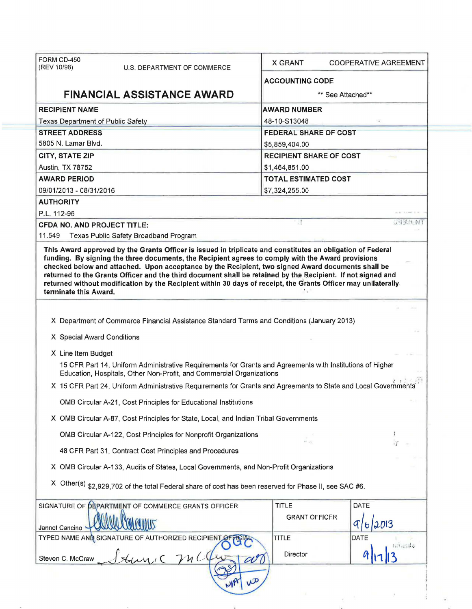| FORM CD-450                       |                                                                                                                                                                                                                                                                                                                                                                                                                                         |                        |                                |  |  |
|-----------------------------------|-----------------------------------------------------------------------------------------------------------------------------------------------------------------------------------------------------------------------------------------------------------------------------------------------------------------------------------------------------------------------------------------------------------------------------------------|------------------------|--------------------------------|--|--|
| (REV 10/98)                       | U.S. DEPARTMENT OF COMMERCE                                                                                                                                                                                                                                                                                                                                                                                                             | <b>X GRANT</b>         | <b>COOPERATIVE AGREEMENT</b>   |  |  |
|                                   |                                                                                                                                                                                                                                                                                                                                                                                                                                         | <b>ACCOUNTING CODE</b> |                                |  |  |
|                                   | <b>FINANCIAL ASSISTANCE AWARD</b>                                                                                                                                                                                                                                                                                                                                                                                                       | ** See Attached**      |                                |  |  |
| <b>RECIPIENT NAME</b>             |                                                                                                                                                                                                                                                                                                                                                                                                                                         | <b>AWARD NUMBER</b>    |                                |  |  |
| Texas Department of Public Safety |                                                                                                                                                                                                                                                                                                                                                                                                                                         | 48-10-S13048           |                                |  |  |
| <b>STREET ADDRESS</b>             |                                                                                                                                                                                                                                                                                                                                                                                                                                         |                        | <b>FEDERAL SHARE OF COST</b>   |  |  |
| 5805 N. Lamar Blvd.               |                                                                                                                                                                                                                                                                                                                                                                                                                                         |                        | \$5,859,404.00                 |  |  |
| <b>CITY, STATE ZIP</b>            |                                                                                                                                                                                                                                                                                                                                                                                                                                         |                        | <b>RECIPIENT SHARE OF COST</b> |  |  |
| Austin, TX 78752                  |                                                                                                                                                                                                                                                                                                                                                                                                                                         | \$1,464,851.00         |                                |  |  |
| <b>AWARD PERIOD</b>               |                                                                                                                                                                                                                                                                                                                                                                                                                                         |                        | <b>TOTAL ESTIMATED COST</b>    |  |  |
| 09/01/2013 - 08/31/2016           |                                                                                                                                                                                                                                                                                                                                                                                                                                         | \$7,324,255.00         |                                |  |  |
| <b>AUTHORITY</b>                  |                                                                                                                                                                                                                                                                                                                                                                                                                                         |                        |                                |  |  |
| P.L. 112-96                       |                                                                                                                                                                                                                                                                                                                                                                                                                                         |                        |                                |  |  |
| CFDA NO. AND PROJECT TITLE:       |                                                                                                                                                                                                                                                                                                                                                                                                                                         |                        | 计计算机                           |  |  |
| 11.549                            | Texas Public Safety Broadband Program                                                                                                                                                                                                                                                                                                                                                                                                   |                        |                                |  |  |
| terminate this Award.             | funding. By signing the three documents, the Recipient agrees to comply with the Award provisions<br>checked below and attached. Upon acceptance by the Recipient, two signed Award documents shall be<br>returned to the Grants Officer and the third document shall be retained by the Recipient. If not signed and<br>returned without modification by the Recipient within 30 days of receipt, the Grants Officer may unilaterally. |                        |                                |  |  |
|                                   |                                                                                                                                                                                                                                                                                                                                                                                                                                         |                        |                                |  |  |
|                                   | X Department of Commerce Financial Assistance Standard Terms and Conditions (January 2013)                                                                                                                                                                                                                                                                                                                                              |                        |                                |  |  |
| X Special Award Conditions        |                                                                                                                                                                                                                                                                                                                                                                                                                                         |                        |                                |  |  |
| X Line Item Budget                |                                                                                                                                                                                                                                                                                                                                                                                                                                         |                        |                                |  |  |
|                                   | 15 CFR Part 14, Uniform Administrative Requirements for Grants and Agreements with Institutions of Higher<br>Education, Hospitals, Other Non-Profit, and Commercial Organizations                                                                                                                                                                                                                                                       |                        |                                |  |  |
|                                   | X 15 CFR Part 24, Uniform Administrative Requirements for Grants and Agreements to State and Local Governments                                                                                                                                                                                                                                                                                                                          |                        |                                |  |  |
|                                   | OMB Circular A-21, Cost Principles for Educational Institutions                                                                                                                                                                                                                                                                                                                                                                         |                        |                                |  |  |
|                                   | X OMB Circular A-87, Cost Principles for State, Local, and Indian Tribal Governments                                                                                                                                                                                                                                                                                                                                                    |                        |                                |  |  |
|                                   | OMB Circular A-122, Cost Principles for Nonprofit Organizations                                                                                                                                                                                                                                                                                                                                                                         |                        |                                |  |  |
|                                   | 48 CFR Part 31, Contract Cost Principles and Procedures                                                                                                                                                                                                                                                                                                                                                                                 |                        |                                |  |  |
|                                   | X OMB Circular A-133, Audits of States, Local Governments, and Non-Profit Organizations                                                                                                                                                                                                                                                                                                                                                 |                        |                                |  |  |
|                                   | X Other(s) \$2,929,702 of the total Federal share of cost has been reserved for Phase II, see SAC #6.                                                                                                                                                                                                                                                                                                                                   |                        |                                |  |  |
|                                   | SIGNATURE OF DEPARTMENT OF COMMERCE GRANTS OFFICER                                                                                                                                                                                                                                                                                                                                                                                      | <b>TITLE</b>           | DATE                           |  |  |
|                                   |                                                                                                                                                                                                                                                                                                                                                                                                                                         | <b>GRANT OFFICER</b>   | 2013                           |  |  |
| Jannet Cancino                    | TYPED NAME AND SIGNATURE OF AUTHORIZED RECIPIENT OFF                                                                                                                                                                                                                                                                                                                                                                                    | <b>TITLE</b>           | <b>DATE</b>                    |  |  |
|                                   |                                                                                                                                                                                                                                                                                                                                                                                                                                         | Director               | unten s                        |  |  |
| Steven C. McCraw                  |                                                                                                                                                                                                                                                                                                                                                                                                                                         |                        |                                |  |  |
|                                   |                                                                                                                                                                                                                                                                                                                                                                                                                                         |                        |                                |  |  |
|                                   |                                                                                                                                                                                                                                                                                                                                                                                                                                         |                        |                                |  |  |